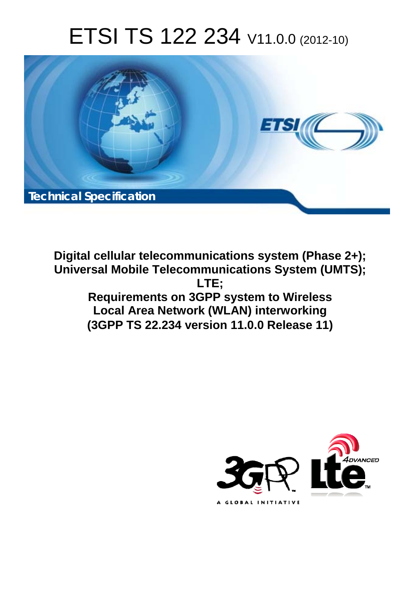# ETSI TS 122 234 V11.0.0 (2012-10)



**Digital cellular telecommunications system (Phase 2+); Universal Mobile Telecommunications System (UMTS); LTE; Requirements on 3GPP system to Wireless Local Area Network (WLAN) interworking (3GPP TS 22.234 version 11.0.0 Release 11)** 

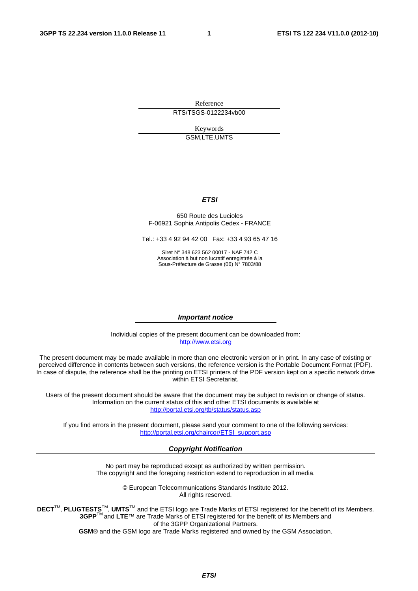Reference RTS/TSGS-0122234vb00

> Keywords GSM,LTE,UMTS

#### *ETSI*

#### 650 Route des Lucioles F-06921 Sophia Antipolis Cedex - FRANCE

Tel.: +33 4 92 94 42 00 Fax: +33 4 93 65 47 16

Siret N° 348 623 562 00017 - NAF 742 C Association à but non lucratif enregistrée à la Sous-Préfecture de Grasse (06) N° 7803/88

#### *Important notice*

Individual copies of the present document can be downloaded from: [http://www.etsi.org](http://www.etsi.org/)

The present document may be made available in more than one electronic version or in print. In any case of existing or perceived difference in contents between such versions, the reference version is the Portable Document Format (PDF). In case of dispute, the reference shall be the printing on ETSI printers of the PDF version kept on a specific network drive within ETSI Secretariat.

Users of the present document should be aware that the document may be subject to revision or change of status. Information on the current status of this and other ETSI documents is available at <http://portal.etsi.org/tb/status/status.asp>

If you find errors in the present document, please send your comment to one of the following services: [http://portal.etsi.org/chaircor/ETSI\\_support.asp](http://portal.etsi.org/chaircor/ETSI_support.asp)

#### *Copyright Notification*

No part may be reproduced except as authorized by written permission. The copyright and the foregoing restriction extend to reproduction in all media.

> © European Telecommunications Standards Institute 2012. All rights reserved.

**DECT**TM, **PLUGTESTS**TM, **UMTS**TM and the ETSI logo are Trade Marks of ETSI registered for the benefit of its Members. **3GPP**TM and **LTE**™ are Trade Marks of ETSI registered for the benefit of its Members and of the 3GPP Organizational Partners.

**GSM**® and the GSM logo are Trade Marks registered and owned by the GSM Association.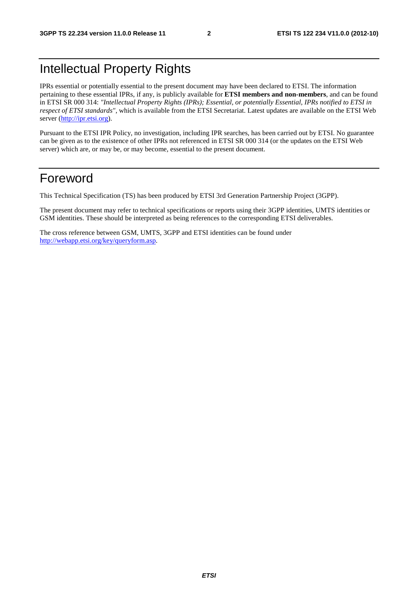# Intellectual Property Rights

IPRs essential or potentially essential to the present document may have been declared to ETSI. The information pertaining to these essential IPRs, if any, is publicly available for **ETSI members and non-members**, and can be found in ETSI SR 000 314: *"Intellectual Property Rights (IPRs); Essential, or potentially Essential, IPRs notified to ETSI in respect of ETSI standards"*, which is available from the ETSI Secretariat. Latest updates are available on the ETSI Web server [\(http://ipr.etsi.org](http://webapp.etsi.org/IPR/home.asp)).

Pursuant to the ETSI IPR Policy, no investigation, including IPR searches, has been carried out by ETSI. No guarantee can be given as to the existence of other IPRs not referenced in ETSI SR 000 314 (or the updates on the ETSI Web server) which are, or may be, or may become, essential to the present document.

# Foreword

This Technical Specification (TS) has been produced by ETSI 3rd Generation Partnership Project (3GPP).

The present document may refer to technical specifications or reports using their 3GPP identities, UMTS identities or GSM identities. These should be interpreted as being references to the corresponding ETSI deliverables.

The cross reference between GSM, UMTS, 3GPP and ETSI identities can be found under [http://webapp.etsi.org/key/queryform.asp.](http://webapp.etsi.org/key/queryform.asp)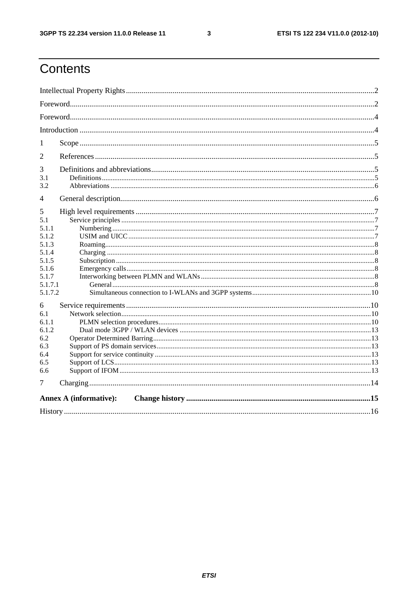$\mathbf{3}$ 

# Contents

| 1              |                               |  |  |  |  |
|----------------|-------------------------------|--|--|--|--|
| $\overline{2}$ |                               |  |  |  |  |
| 3<br>3.1       |                               |  |  |  |  |
| 3.2            |                               |  |  |  |  |
| 4              |                               |  |  |  |  |
| 5              |                               |  |  |  |  |
| 5.1            |                               |  |  |  |  |
| 5.1.1          |                               |  |  |  |  |
| 5.1.2          |                               |  |  |  |  |
| 5.1.3          |                               |  |  |  |  |
| 5.1.4          |                               |  |  |  |  |
| 5.1.5          |                               |  |  |  |  |
| 5.1.6          |                               |  |  |  |  |
| 5.1.7          |                               |  |  |  |  |
| 5.1.7.1        |                               |  |  |  |  |
| 5.1.7.2        |                               |  |  |  |  |
| 6              |                               |  |  |  |  |
| 6.1            |                               |  |  |  |  |
| 6.1.1          |                               |  |  |  |  |
| 6.1.2          |                               |  |  |  |  |
| 6.2            |                               |  |  |  |  |
| 6.3            |                               |  |  |  |  |
| 6.4            |                               |  |  |  |  |
| 6.5            |                               |  |  |  |  |
| 6.6            |                               |  |  |  |  |
| 7              |                               |  |  |  |  |
|                | <b>Annex A (informative):</b> |  |  |  |  |
|                |                               |  |  |  |  |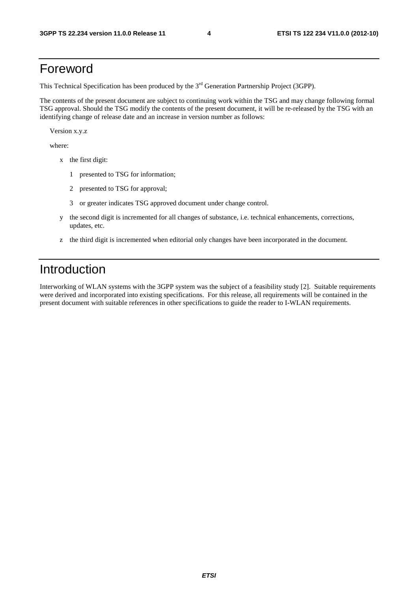# Foreword

This Technical Specification has been produced by the 3<sup>rd</sup> Generation Partnership Project (3GPP).

The contents of the present document are subject to continuing work within the TSG and may change following formal TSG approval. Should the TSG modify the contents of the present document, it will be re-released by the TSG with an identifying change of release date and an increase in version number as follows:

Version x.y.z

where:

- x the first digit:
	- 1 presented to TSG for information;
	- 2 presented to TSG for approval;
	- 3 or greater indicates TSG approved document under change control.
- y the second digit is incremented for all changes of substance, i.e. technical enhancements, corrections, updates, etc.
- z the third digit is incremented when editorial only changes have been incorporated in the document.

# Introduction

Interworking of WLAN systems with the 3GPP system was the subject of a feasibility study [2]. Suitable requirements were derived and incorporated into existing specifications. For this release, all requirements will be contained in the present document with suitable references in other specifications to guide the reader to I-WLAN requirements.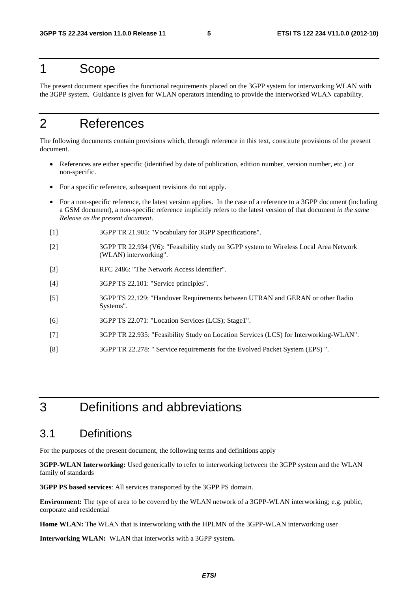### 1 Scope

The present document specifies the functional requirements placed on the 3GPP system for interworking WLAN with the 3GPP system. Guidance is given for WLAN operators intending to provide the interworked WLAN capability.

# 2 References

The following documents contain provisions which, through reference in this text, constitute provisions of the present document.

- References are either specific (identified by date of publication, edition number, version number, etc.) or non-specific.
- For a specific reference, subsequent revisions do not apply.
- For a non-specific reference, the latest version applies. In the case of a reference to a 3GPP document (including a GSM document), a non-specific reference implicitly refers to the latest version of that document *in the same Release as the present document*.
- [1] 3GPP TR 21.905: "Vocabulary for 3GPP Specifications".
- [2] 3GPP TR 22.934 (V6): "Feasibility study on 3GPP system to Wireless Local Area Network (WLAN) interworking".
- [3] RFC 2486: "The Network Access Identifier".
- [4] 3GPP TS 22.101: "Service principles".
- [5] 3GPP TS 22.129: "Handover Requirements between UTRAN and GERAN or other Radio Systems".
- [6] 3GPP TS 22.071: "Location Services (LCS); Stage1".
- [7] 3GPP TR 22.935: "Feasibility Study on Location Services (LCS) for Interworking-WLAN".
- [8] 3GPP TR 22.278: " Service requirements for the Evolved Packet System (EPS) ".

# 3 Definitions and abbreviations

#### 3.1 Definitions

For the purposes of the present document, the following terms and definitions apply

**3GPP-WLAN Interworking:** Used generically to refer to interworking between the 3GPP system and the WLAN family of standards

**3GPP PS based services**: All services transported by the 3GPP PS domain.

**Environment:** The type of area to be covered by the WLAN network of a 3GPP-WLAN interworking; e.g. public, corporate and residential

**Home WLAN:** The WLAN that is interworking with the HPLMN of the 3GPP-WLAN interworking user

**Interworking WLAN:** WLAN that interworks with a 3GPP system**.**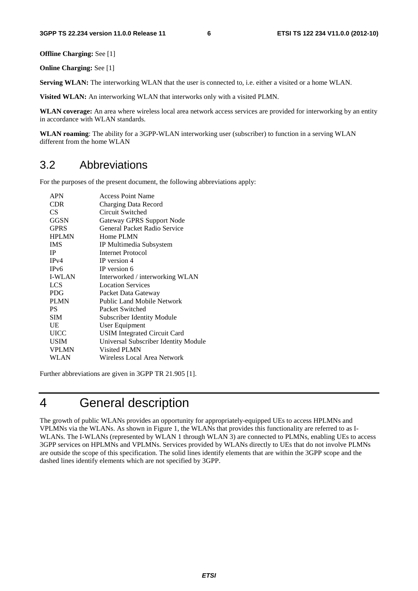**Offline Charging:** See [1]

**Online Charging:** See [1]

**Serving WLAN:** The interworking WLAN that the user is connected to, i.e. either a visited or a home WLAN.

**Visited WLAN:** An interworking WLAN that interworks only with a visited PLMN.

**WLAN coverage:** An area where wireless local area network access services are provided for interworking by an entity in accordance with WLAN standards.

**WLAN roaming**: The ability for a 3GPP-WLAN interworking user (subscriber) to function in a serving WLAN different from the home WLAN

### 3.2 Abbreviations

For the purposes of the present document, the following abbreviations apply:

| <b>APN</b>        | <b>Access Point Name</b>             |
|-------------------|--------------------------------------|
| <b>CDR</b>        | Charging Data Record                 |
| CS.               | Circuit Switched                     |
| GGSN              | <b>Gateway GPRS Support Node</b>     |
| <b>GPRS</b>       | <b>General Packet Radio Service</b>  |
| <b>HPLMN</b>      | Home PLMN                            |
| <b>IMS</b>        | IP Multimedia Subsystem              |
| IP                | <b>Internet Protocol</b>             |
| IPv4              | IP version 4                         |
| IP <sub>v</sub> 6 | IP version 6                         |
| <b>I-WLAN</b>     | Interworked / interworking WLAN      |
| <b>LCS</b>        | <b>Location Services</b>             |
| <b>PDG</b>        | Packet Data Gateway                  |
| <b>PLMN</b>       | Public Land Mobile Network           |
| PS.               | Packet Switched                      |
| <b>SIM</b>        | <b>Subscriber Identity Module</b>    |
| UE                | User Equipment                       |
| <b>UICC</b>       | <b>USIM</b> Integrated Circuit Card  |
| <b>USIM</b>       | Universal Subscriber Identity Module |
| <b>VPLMN</b>      | <b>Visited PLMN</b>                  |
| WLAN              | Wireless Local Area Network          |
|                   |                                      |

Further abbreviations are given in 3GPP TR 21.905 [1].

# 4 General description

The growth of public WLANs provides an opportunity for appropriately-equipped UEs to access HPLMNs and VPLMNs via the WLANs. As shown in Figure 1, the WLANs that provides this functionality are referred to as I-WLANs. The I-WLANs (represented by WLAN 1 through WLAN 3) are connected to PLMNs, enabling UEs to access 3GPP services on HPLMNs and VPLMNs. Services provided by WLANs directly to UEs that do not involve PLMNs are outside the scope of this specification. The solid lines identify elements that are within the 3GPP scope and the dashed lines identify elements which are not specified by 3GPP.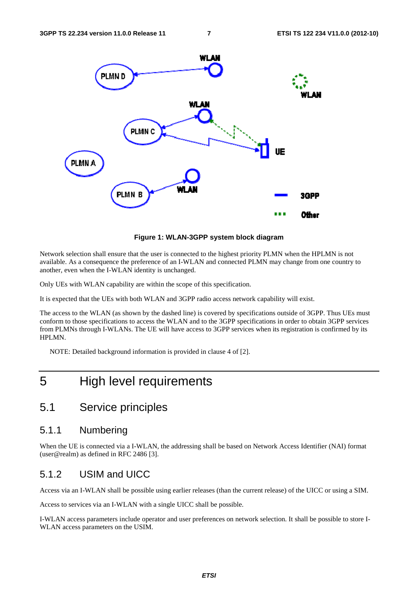

**Figure 1: WLAN-3GPP system block diagram** 

Network selection shall ensure that the user is connected to the highest priority PLMN when the HPLMN is not available. As a consequence the preference of an I-WLAN and connected PLMN may change from one country to another, even when the I-WLAN identity is unchanged.

Only UEs with WLAN capability are within the scope of this specification.

It is expected that the UEs with both WLAN and 3GPP radio access network capability will exist.

The access to the WLAN (as shown by the dashed line) is covered by specifications outside of 3GPP. Thus UEs must conform to those specifications to access the WLAN and to the 3GPP specifications in order to obtain 3GPP services from PLMNs through I-WLANs. The UE will have access to 3GPP services when its registration is confirmed by its HPLMN.

NOTE: Detailed background information is provided in clause 4 of [2].

# 5 High level requirements

### 5.1 Service principles

#### 5.1.1 Numbering

When the UE is connected via a I-WLAN, the addressing shall be based on Network Access Identifier (NAI) format (user@realm) as defined in RFC 2486 [3].

#### 5.1.2 USIM and UICC

Access via an I-WLAN shall be possible using earlier releases (than the current release) of the UICC or using a SIM.

Access to services via an I-WLAN with a single UICC shall be possible.

I-WLAN access parameters include operator and user preferences on network selection. It shall be possible to store I-WLAN access parameters on the USIM.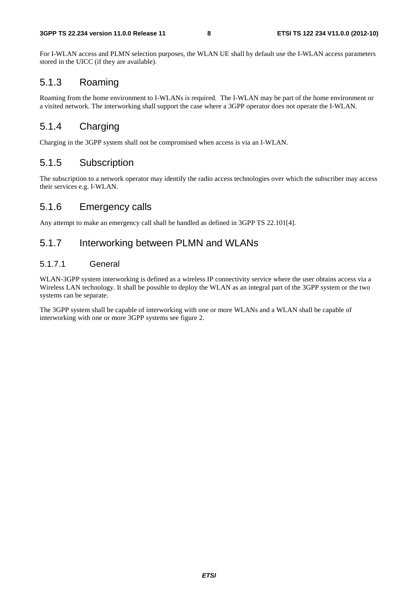For I-WLAN access and PLMN selection purposes, the WLAN UE shall by default use the I-WLAN access parameters stored in the UICC (if they are available).

### 5.1.3 Roaming

Roaming from the home environment to I-WLANs is required. The I-WLAN may be part of the home environment or a visited network. The interworking shall support the case where a 3GPP operator does not operate the I-WLAN.

#### 5.1.4 Charging

Charging in the 3GPP system shall not be compromised when access is via an I-WLAN.

#### 5.1.5 Subscription

The subscription to a network operator may identify the radio access technologies over which the subscriber may access their services e.g. I-WLAN.

#### 5.1.6 Emergency calls

Any attempt to make an emergency call shall be handled as defined in 3GPP TS 22.101[4].

#### 5.1.7 Interworking between PLMN and WLANs

#### 5.1.7.1 General

WLAN-3GPP system interworking is defined as a wireless IP connectivity service where the user obtains access via a Wireless LAN technology. It shall be possible to deploy the WLAN as an integral part of the 3GPP system or the two systems can be separate.

The 3GPP system shall be capable of interworking with one or more WLANs and a WLAN shall be capable of interworking with one or more 3GPP systems see figure 2.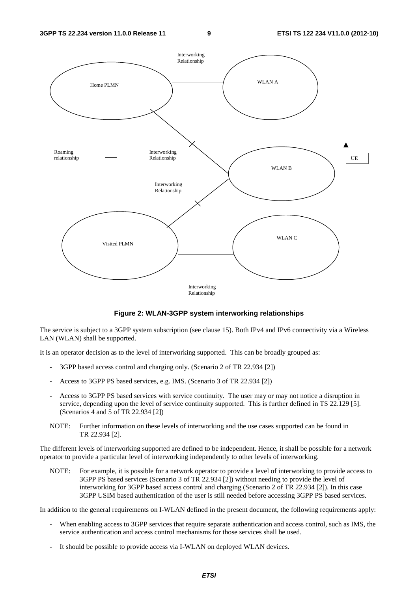

**Figure 2: WLAN-3GPP system interworking relationships** 

The service is subject to a 3GPP system subscription (see clause 15). Both IPv4 and IPv6 connectivity via a Wireless LAN (WLAN) shall be supported.

It is an operator decision as to the level of interworking supported. This can be broadly grouped as:

- 3GPP based access control and charging only. (Scenario 2 of TR 22.934 [2])
- Access to 3GPP PS based services, e.g. IMS. (Scenario 3 of TR 22.934 [2])
- Access to 3GPP PS based services with service continuity. The user may or may not notice a disruption in service, depending upon the level of service continuity supported. This is further defined in TS 22.129 [5]. (Scenarios 4 and 5 of TR 22.934 [2])
- NOTE: Further information on these levels of interworking and the use cases supported can be found in TR 22.934 [2].

The different levels of interworking supported are defined to be independent. Hence, it shall be possible for a network operator to provide a particular level of interworking independently to other levels of interworking.

NOTE: For example, it is possible for a network operator to provide a level of interworking to provide access to 3GPP PS based services (Scenario 3 of TR 22.934 [2]) without needing to provide the level of interworking for 3GPP based access control and charging (Scenario 2 of TR 22.934 [2]). In this case 3GPP USIM based authentication of the user is still needed before accessing 3GPP PS based services.

In addition to the general requirements on I-WLAN defined in the present document, the following requirements apply:

- When enabling access to 3GPP services that require separate authentication and access control, such as IMS, the service authentication and access control mechanisms for those services shall be used.
- It should be possible to provide access via I-WLAN on deployed WLAN devices.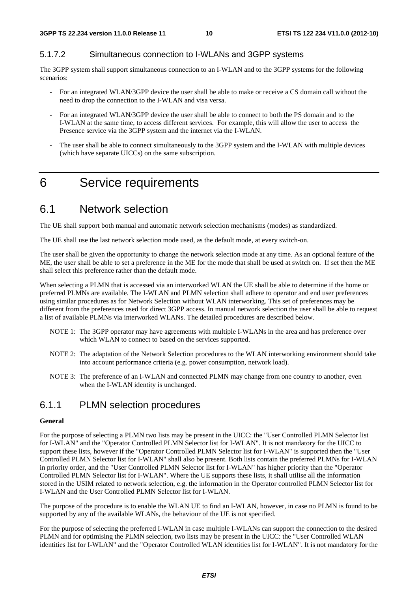#### 5.1.7.2 Simultaneous connection to I-WLANs and 3GPP systems

The 3GPP system shall support simultaneous connection to an I-WLAN and to the 3GPP systems for the following scenarios:

- For an integrated WLAN/3GPP device the user shall be able to make or receive a CS domain call without the need to drop the connection to the I-WLAN and visa versa.
- For an integrated WLAN/3GPP device the user shall be able to connect to both the PS domain and to the I-WLAN at the same time, to access different services. For example, this will allow the user to access the Presence service via the 3GPP system and the internet via the I-WLAN.
- The user shall be able to connect simultaneously to the 3GPP system and the I-WLAN with multiple devices (which have separate UICCs) on the same subscription.

# 6 Service requirements

### 6.1 Network selection

The UE shall support both manual and automatic network selection mechanisms (modes) as standardized.

The UE shall use the last network selection mode used, as the default mode, at every switch-on.

The user shall be given the opportunity to change the network selection mode at any time. As an optional feature of the ME, the user shall be able to set a preference in the ME for the mode that shall be used at switch on. If set then the ME shall select this preference rather than the default mode.

When selecting a PLMN that is accessed via an interworked WLAN the UE shall be able to determine if the home or preferred PLMNs are available. The I-WLAN and PLMN selection shall adhere to operator and end user preferences using similar procedures as for Network Selection without WLAN interworking. This set of preferences may be different from the preferences used for direct 3GPP access. In manual network selection the user shall be able to request a list of available PLMNs via interworked WLANs. The detailed procedures are described below.

- NOTE 1: The 3GPP operator may have agreements with multiple I-WLANs in the area and has preference over which WLAN to connect to based on the services supported.
- NOTE 2: The adaptation of the Network Selection procedures to the WLAN interworking environment should take into account performance criteria (e.g. power consumption, network load).
- NOTE 3: The preference of an I-WLAN and connected PLMN may change from one country to another, even when the I-WLAN identity is unchanged.

### 6.1.1 PLMN selection procedures

#### **General**

For the purpose of selecting a PLMN two lists may be present in the UICC: the "User Controlled PLMN Selector list for I-WLAN" and the "Operator Controlled PLMN Selector list for I-WLAN". It is not mandatory for the UICC to support these lists, however if the "Operator Controlled PLMN Selector list for I-WLAN" is supported then the "User Controlled PLMN Selector list for I-WLAN" shall also be present. Both lists contain the preferred PLMNs for I-WLAN in priority order, and the "User Controlled PLMN Selector list for I-WLAN" has higher priority than the "Operator Controlled PLMN Selector list for I-WLAN". Where the UE supports these lists, it shall utilise all the information stored in the USIM related to network selection, e.g. the information in the Operator controlled PLMN Selector list for I-WLAN and the User Controlled PLMN Selector list for I-WLAN.

The purpose of the procedure is to enable the WLAN UE to find an I-WLAN, however, in case no PLMN is found to be supported by any of the available WLANs, the behaviour of the UE is not specified.

For the purpose of selecting the preferred I-WLAN in case multiple I-WLANs can support the connection to the desired PLMN and for optimising the PLMN selection, two lists may be present in the UICC: the "User Controlled WLAN identities list for I-WLAN" and the "Operator Controlled WLAN identities list for I-WLAN". It is not mandatory for the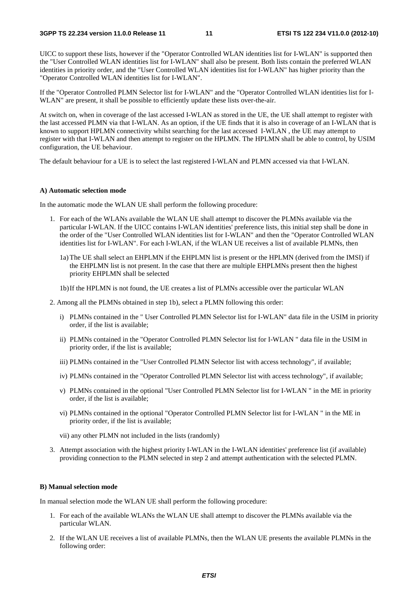UICC to support these lists, however if the "Operator Controlled WLAN identities list for I-WLAN" is supported then the "User Controlled WLAN identities list for I-WLAN" shall also be present. Both lists contain the preferred WLAN identities in priority order, and the "User Controlled WLAN identities list for I-WLAN" has higher priority than the "Operator Controlled WLAN identities list for I-WLAN".

If the "Operator Controlled PLMN Selector list for I-WLAN" and the "Operator Controlled WLAN identities list for I-WLAN" are present, it shall be possible to efficiently update these lists over-the-air.

At switch on, when in coverage of the last accessed I-WLAN as stored in the UE, the UE shall attempt to register with the last accessed PLMN via that I-WLAN. As an option, if the UE finds that it is also in coverage of an I-WLAN that is known to support HPLMN connectivity whilst searching for the last accessed I-WLAN , the UE may attempt to register with that I-WLAN and then attempt to register on the HPLMN. The HPLMN shall be able to control, by USIM configuration, the UE behaviour.

The default behaviour for a UE is to select the last registered I-WLAN and PLMN accessed via that I-WLAN.

#### **A) Automatic selection mode**

In the automatic mode the WLAN UE shall perform the following procedure:

- 1. For each of the WLANs available the WLAN UE shall attempt to discover the PLMNs available via the particular I-WLAN. If the UICC contains I-WLAN identities' preference lists, this initial step shall be done in the order of the "User Controlled WLAN identities list for I-WLAN" and then the "Operator Controlled WLAN identities list for I-WLAN". For each I-WLAN, if the WLAN UE receives a list of available PLMNs, then
	- 1a) The UE shall select an EHPLMN if the EHPLMN list is present or the HPLMN (derived from the IMSI) if the EHPLMN list is not present. In the case that there are multiple EHPLMNs present then the highest priority EHPLMN shall be selected
	- 1b) If the HPLMN is not found, the UE creates a list of PLMNs accessible over the particular WLAN
- 2. Among all the PLMNs obtained in step 1b), select a PLMN following this order:
	- i) PLMNs contained in the " User Controlled PLMN Selector list for I-WLAN" data file in the USIM in priority order, if the list is available;
	- ii) PLMNs contained in the "Operator Controlled PLMN Selector list for I-WLAN " data file in the USIM in priority order, if the list is available;
	- iii) PLMNs contained in the "User Controlled PLMN Selector list with access technology", if available;
	- iv) PLMNs contained in the "Operator Controlled PLMN Selector list with access technology", if available;
	- v) PLMNs contained in the optional "User Controlled PLMN Selector list for I-WLAN " in the ME in priority order, if the list is available;
	- vi) PLMNs contained in the optional "Operator Controlled PLMN Selector list for I-WLAN " in the ME in priority order, if the list is available;
	- vii) any other PLMN not included in the lists (randomly)
- 3. Attempt association with the highest priority I-WLAN in the I-WLAN identities' preference list (if available) providing connection to the PLMN selected in step 2 and attempt authentication with the selected PLMN.

#### **B) Manual selection mode**

In manual selection mode the WLAN UE shall perform the following procedure:

- 1. For each of the available WLANs the WLAN UE shall attempt to discover the PLMNs available via the particular WLAN.
- 2. If the WLAN UE receives a list of available PLMNs, then the WLAN UE presents the available PLMNs in the following order: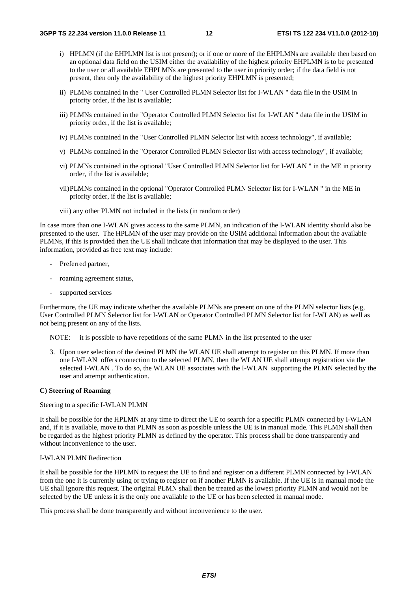- i) HPLMN (if the EHPLMN list is not present); or if one or more of the EHPLMNs are available then based on an optional data field on the USIM either the availability of the highest priority EHPLMN is to be presented to the user or all available EHPLMNs are presented to the user in priority order; if the data field is not present, then only the availability of the highest priority EHPLMN is presented;
- ii) PLMNs contained in the " User Controlled PLMN Selector list for I-WLAN " data file in the USIM in priority order, if the list is available;
- iii) PLMNs contained in the "Operator Controlled PLMN Selector list for I-WLAN " data file in the USIM in priority order, if the list is available;
- iv) PLMNs contained in the "User Controlled PLMN Selector list with access technology", if available;
- v) PLMNs contained in the "Operator Controlled PLMN Selector list with access technology", if available;
- vi) PLMNs contained in the optional "User Controlled PLMN Selector list for I-WLAN " in the ME in priority order, if the list is available;
- vii) PLMNs contained in the optional "Operator Controlled PLMN Selector list for I-WLAN " in the ME in priority order, if the list is available;
- viii) any other PLMN not included in the lists (in random order)

In case more than one I-WLAN gives access to the same PLMN, an indication of the I-WLAN identity should also be presented to the user. The HPLMN of the user may provide on the USIM additional information about the available PLMNs, if this is provided then the UE shall indicate that information that may be displayed to the user. This information, provided as free text may include:

- Preferred partner,
- roaming agreement status,
- supported services

Furthermore, the UE may indicate whether the available PLMNs are present on one of the PLMN selector lists (e.g, User Controlled PLMN Selector list for I-WLAN or Operator Controlled PLMN Selector list for I-WLAN) as well as not being present on any of the lists.

NOTE: it is possible to have repetitions of the same PLMN in the list presented to the user

3. Upon user selection of the desired PLMN the WLAN UE shall attempt to register on this PLMN. If more than one I-WLAN offers connection to the selected PLMN, then the WLAN UE shall attempt registration via the selected I-WLAN. To do so, the WLAN UE associates with the I-WLAN supporting the PLMN selected by the user and attempt authentication.

#### **C) Steering of Roaming**

Steering to a specific I-WLAN PLMN

It shall be possible for the HPLMN at any time to direct the UE to search for a specific PLMN connected by I-WLAN and, if it is available, move to that PLMN as soon as possible unless the UE is in manual mode. This PLMN shall then be regarded as the highest priority PLMN as defined by the operator. This process shall be done transparently and without inconvenience to the user.

#### I-WLAN PLMN Redirection

It shall be possible for the HPLMN to request the UE to find and register on a different PLMN connected by I-WLAN from the one it is currently using or trying to register on if another PLMN is available. If the UE is in manual mode the UE shall ignore this request. The original PLMN shall then be treated as the lowest priority PLMN and would not be selected by the UE unless it is the only one available to the UE or has been selected in manual mode.

This process shall be done transparently and without inconvenience to the user.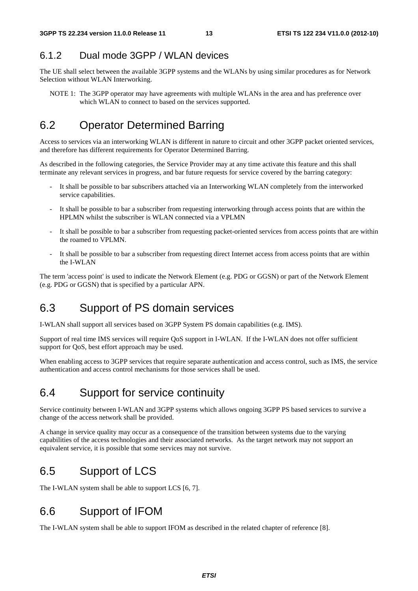### 6.1.2 Dual mode 3GPP / WLAN devices

The UE shall select between the available 3GPP systems and the WLANs by using similar procedures as for Network Selection without WLAN Interworking.

NOTE 1: The 3GPP operator may have agreements with multiple WLANs in the area and has preference over which WLAN to connect to based on the services supported.

### 6.2 Operator Determined Barring

Access to services via an interworking WLAN is different in nature to circuit and other 3GPP packet oriented services, and therefore has different requirements for Operator Determined Barring.

As described in the following categories, the Service Provider may at any time activate this feature and this shall terminate any relevant services in progress, and bar future requests for service covered by the barring category:

- It shall be possible to bar subscribers attached via an Interworking WLAN completely from the interworked service capabilities.
- It shall be possible to bar a subscriber from requesting interworking through access points that are within the HPLMN whilst the subscriber is WLAN connected via a VPLMN
- It shall be possible to bar a subscriber from requesting packet-oriented services from access points that are within the roamed to VPLMN.
- It shall be possible to bar a subscriber from requesting direct Internet access from access points that are within the I-WLAN

The term 'access point' is used to indicate the Network Element (e.g. PDG or GGSN) or part of the Network Element (e.g. PDG or GGSN) that is specified by a particular APN.

### 6.3 Support of PS domain services

I-WLAN shall support all services based on 3GPP System PS domain capabilities (e.g. IMS).

Support of real time IMS services will require QoS support in I-WLAN. If the I-WLAN does not offer sufficient support for QoS, best effort approach may be used.

When enabling access to 3GPP services that require separate authentication and access control, such as IMS, the service authentication and access control mechanisms for those services shall be used.

# 6.4 Support for service continuity

Service continuity between I-WLAN and 3GPP systems which allows ongoing 3GPP PS based services to survive a change of the access network shall be provided.

A change in service quality may occur as a consequence of the transition between systems due to the varying capabilities of the access technologies and their associated networks. As the target network may not support an equivalent service, it is possible that some services may not survive.

# 6.5 Support of LCS

The I-WLAN system shall be able to support LCS [6, 7].

# 6.6 Support of IFOM

The I-WLAN system shall be able to support IFOM as described in the related chapter of reference [8].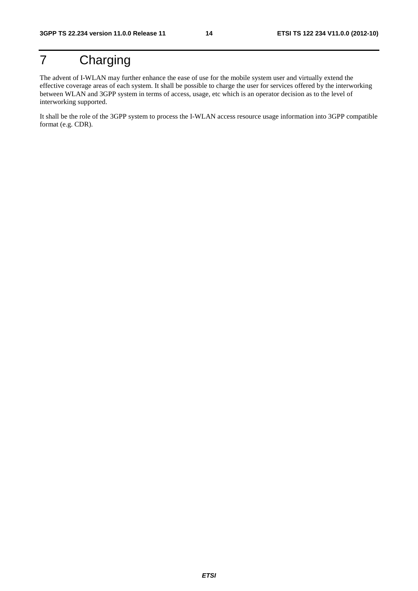# 7 Charging

The advent of I-WLAN may further enhance the ease of use for the mobile system user and virtually extend the effective coverage areas of each system. It shall be possible to charge the user for services offered by the interworking between WLAN and 3GPP system in terms of access, usage, etc which is an operator decision as to the level of interworking supported.

It shall be the role of the 3GPP system to process the I-WLAN access resource usage information into 3GPP compatible format (e.g. CDR).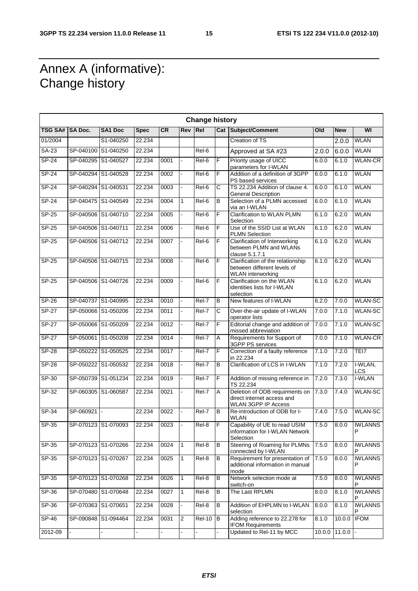٦

# Annex A (informative): Change history

 $\mathsf{r}$ 

|                 |                     |                     |             |           |              | <b>Change history</b> |                       |                                                                                              |       |                              |                     |
|-----------------|---------------------|---------------------|-------------|-----------|--------------|-----------------------|-----------------------|----------------------------------------------------------------------------------------------|-------|------------------------------|---------------------|
| TSG SA# SA Doc. |                     | <b>SA1 Doc</b>      | <b>Spec</b> | <b>CR</b> | <b>Rev</b>   | Rel                   |                       | <b>Cat Subject/Comment</b>                                                                   | Old   | <b>New</b>                   | WI                  |
| 01/2004         |                     | S1-040250           | 22.234      |           |              |                       |                       | <b>Creation of TS</b>                                                                        |       | 2.0.0                        | <b>WLAN</b>         |
| SA-23           |                     | SP-040100 S1-040250 | 22.234      |           |              | Rel-6                 |                       | Approved at SA #23                                                                           | 2.0.0 | 6.0.0                        | <b>WLAN</b>         |
| <b>SP-24</b>    |                     | SP-040295 S1-040527 | 22.234      | 0001      |              | Rel-6                 | F                     | Priority usage of UICC<br>parameters for I-WLAN                                              | 6.0.0 | 6.1.0                        | <b>WLAN-CR</b>      |
| SP-24           |                     | SP-040294 S1-040528 | 22.234      | 0002      |              | Rel-6                 | F                     | Addition of a definition of 3GPP<br>PS based services                                        | 6.0.0 | 6.1.0                        | <b>WLAN</b>         |
| $SP-24$         |                     | SP-040294 S1-040531 | 22.234      | 0003      |              | Rel-6                 | $\overline{\text{c}}$ | TS 22.234 Addition of clause 4.<br><b>General Description</b>                                | 6.0.0 | 6.1.0                        | <b>WLAN</b>         |
| SP-24           |                     | SP-040475 S1-040549 | 22.234      | 0004      | $\mathbf{1}$ | $Rel-6$               | B                     | Selection of a PLMN accessed<br>via an I-WLAN                                                | 6.0.0 | 6.1.0                        | <b>WLAN</b>         |
| $SP-25$         |                     | SP-040506 S1-040710 | 22.234      | 0005      |              | Rel-6                 | F                     | Clarification to WLAN PLMN<br>Selection                                                      | 6.1.0 | 6.2.0                        | <b>WLAN</b>         |
| $SP-25$         | SP-040506 S1-040711 |                     | 22.234      | 0006      |              | Rel-6                 | F                     | Use of the SSID List at WLAN<br><b>PLMN Selection</b>                                        | 6.1.0 | 6.2.0                        | <b>WLAN</b>         |
| SP-25           |                     | SP-040506 S1-040712 | 22.234      | 0007      |              | Rel-6                 | F                     | Clarification of Interworking<br>between PLMN and WLANs<br>clause 5.1.7.1                    | 6.1.0 | 6.2.0                        | <b>WLAN</b>         |
| SP-25           |                     | SP-040506 S1-040715 | 22.234      | 0008      |              | Rel-6                 | F                     | Clarification of the relationship<br>between different levels of<br><b>WLAN</b> interworking | 6.1.0 | 6.2.0                        | <b>WLAN</b>         |
| SP-25           |                     | SP-040506 S1-040726 | 22.234      | 0009      |              | Rel-6                 | F                     | Clarification on the WLAN<br>identities lists for I-WLAN<br>selection                        | 6.1.0 | 6.2.0                        | <b>WLAN</b>         |
| $SP-26$         |                     | SP-040737 S1-040995 | 22.234      | 0010      |              | $ReI-7$               | B                     | New features of I-WLAN                                                                       | 6.2.0 | 7.0.0                        | <b>WLAN-SC</b>      |
| <b>SP-27</b>    |                     | SP-050066 S1-050206 | 22.234      | 0011      |              | Rel-7                 | С                     | Over-the-air update of I-WLAN<br>operator lists                                              | 7.0.0 | 7.1.0                        | <b>WLAN-SC</b>      |
| $SP-27$         |                     | SP-050066 S1-050209 | 22.234      | 0012      |              | Rel-7                 | F                     | Editorial change and addition of<br>missed abbreviation                                      | 7.0.0 | 7.1.0                        | <b>WLAN-SC</b>      |
| <b>SP-27</b>    |                     | SP-050061 S1-050208 | 22.234      | 0014      |              | Rel-7                 | Α                     | Requirements for Support of<br>3GPP PS services                                              | 7.0.0 | 7.1.0                        | <b>WLAN-CR</b>      |
| <b>SP-28</b>    |                     | SP-050222 S1-050525 | 22.234      | 0017      | L.           | Rel-7                 | F                     | Correction of a faulty reference<br>in 22.234                                                | 7.1.0 | 7.2.0                        | TEI7                |
| <b>SP-28</b>    |                     | SP-050222 S1-050532 | 22.234      | 0018      |              | Rel-7                 | В                     | Clarification of LCS in I-WLAN                                                               | 7.1.0 | 7.2.0                        | I-WLAN,<br>LCS      |
| SP-30           |                     | SP-050739 S1-051234 | 22.234      | 0019      |              | Rel-7                 | F                     | Addition of missing reference in<br>TS 22.234                                                | 7.2.0 | 7.3.0                        | I-WLAN              |
| SP-32           |                     | SP-060305 S1-060587 | 22.234      | 0021      |              | Rel-7                 | Α                     | Deletion of ODB requirments on<br>direct internet access and<br><b>WLAN 3GPP IP Access</b>   | 7.3.0 | 7.4.0                        | <b>WLAN-SC</b>      |
| SP-34           | SP-060921           |                     | 22.234      | 0022      |              | Rel-7                 | B                     | Re-introduction of ODB for I-<br><b>WLAN</b>                                                 | 7.4.0 | 7.5.0                        | <b>WLAN-SC</b>      |
| SP-35           |                     | SP-070123 S1-070093 | 22.234      | 0023      |              | Rel-8                 | F                     | Capability of UE to read USIM<br>information for I-WLAN Network<br>Selection                 | 7.5.0 | 8.0.0                        | <b>IWLANNS</b><br>D |
| $SP-35$         |                     | SP-070123 S1-070266 | 22.234      | 0024      | 1            | Rel-8                 | B                     | Steering of Roaming for PLMNs<br>connected by I-WLAN                                         | 7.5.0 | 8.0.0                        | <b>IWLANNS</b><br>P |
| SP-35           |                     | SP-070123 S1-070267 | 22.234      | 0025      | $\mathbf{1}$ | Rel-8                 | В                     | Requirement for presentation of<br>additional information in manual<br>mode                  | 7.5.0 | 8.0.0                        | <b>IWLANNS</b><br>P |
| SP-35           |                     | SP-070123 S1-070268 | 22.234      | 0026      | $\mathbf{1}$ | $\overline{Rel-8}$    | B                     | Network selection mode at<br>switch-on                                                       | 7.5.0 | 8.0.0                        | <b>IWLANNS</b><br>P |
| SP-36           |                     | SP-070480 S1-070648 | 22.234      | 0027      | 1            | Rel-8                 | B                     | The Last RPLMN                                                                               | 8.0.0 | 8.1.0                        | <b>IWLANNS</b>      |
| $SP-36$         |                     | SP-070363 S1-070651 | 22.234      | 0028      |              | Rel-8                 | B                     | Addition of EHPLMN to I-WLAN<br>selection                                                    | 8.0.0 | 8.1.0                        | <b>IWLANNS</b><br>P |
| $SP-46$         |                     | SP-090848 S1-094464 | 22.234      | 0031      | 2            | <b>Rel-10</b>         | B                     | Adding reference to 22.278 for<br><b>IFOM Requirements</b>                                   | 8.1.0 | 10.0.0                       | <b>IFOM</b>         |
| 2012-09         |                     |                     |             |           |              |                       |                       | Updated to Rel-11 by MCC                                                                     |       | $10.0.0$ 11.0.0 $\leftarrow$ |                     |